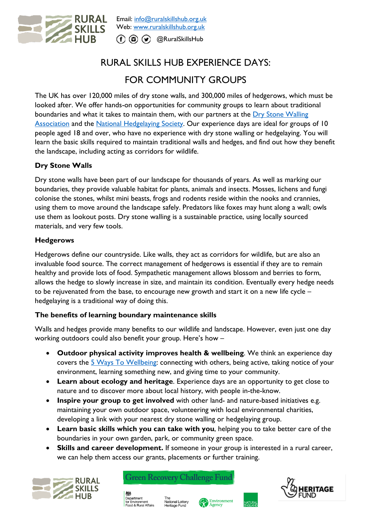

# RURAL SKILLS HUB EXPERIENCE DAYS: FOR COMMUNITY GROUPS

The UK has over 120,000 miles of dry stone walls, and 300,000 miles of hedgerows, which must be looked after. We offer hands-on opportunities for community groups to learn about traditional boundaries and what it takes to maintain them, with our partners at the Dry Stone Walling [Association](https://www.dswa.org.uk/) and the National [Hedgelaying Society.](https://www.hedgelaying.org.uk/) Our experience days are ideal for groups of 10 people aged 18 and over, who have no experience with dry stone walling or hedgelaying. You will learn the basic skills required to maintain traditional walls and hedges, and find out how they benefit the landscape, including acting as corridors for wildlife.

## **Dry Stone Walls**

Dry stone walls have been part of our landscape for thousands of years. As well as marking our boundaries, they provide valuable habitat for plants, animals and insects. Mosses, lichens and fungi colonise the stones, whilst mini beasts, frogs and rodents reside within the nooks and crannies, using them to move around the landscape safely. Predators like foxes may hunt along a wall; owls use them as lookout posts. Dry stone walling is a sustainable practice, using locally sourced materials, and very few tools.

### **Hedgerows**

Hedgerows define our countryside. Like walls, they act as corridors for wildlife, but are also an invaluable food source. The correct management of hedgerows is essential if they are to remain healthy and provide lots of food. Sympathetic management allows blossom and berries to form, allows the hedge to slowly increase in size, and maintain its condition. Eventually every hedge needs to be rejuvenated from the base, to encourage new growth and start it on a new life cycle – hedgelaying is a traditional way of doing this.

### **The benefits of learning boundary maintenance skills**

Walls and hedges provide many benefits to our wildlife and landscape. However, even just one day working outdoors could also benefit your group. Here's how –

- **Outdoor physical activity improves health & wellbeing**. We think an experience day covers the [5 Ways To Wellbeing:](https://www.mind.org.uk/workplace/mental-health-at-work/taking-care-of-yourself/five-ways-to-wellbeing/) connecting with others, being active, taking notice of your environment, learning something new, and giving time to your community.
- **Learn about ecology and heritage**. Experience days are an opportunity to get close to nature and to discover more about local history, with people in-the-know.
- **Inspire your group to get involved** with other land- and nature-based initiatives e.g. maintaining your own outdoor space, volunteering with local environmental charities, developing a link with your nearest dry stone walling or hedgelaying group.
- **Learn basic skills which you can take with you**, helping you to take better care of the boundaries in your own garden, park, or community green space.
- **Skills and career development.** If someone in your group is interested in a rural career, we can help them access our grants, placements or further training.







rne<br>National Lottery<br>Heritage Fund

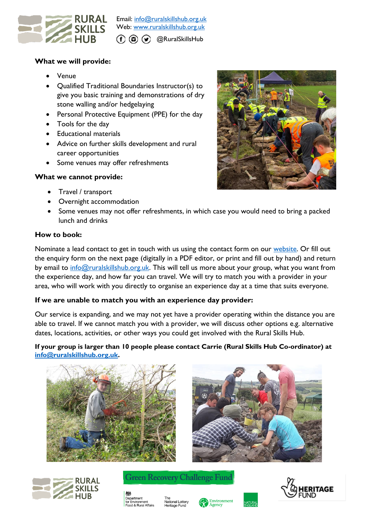

Email: [info@ruralskillshub.org.uk](mailto:info@ruralskillshub.org.uk) Web: [www.ruralskillshub.org.uk](http://www.ruralskillshub.org.uk/) @RuralSkillsHub

#### **What we will provide:**

- Venue
- Qualified Traditional Boundaries Instructor(s) to give you basic training and demonstrations of dry stone walling and/or hedgelaying
- Personal Protective Equipment (PPE) for the day
- Tools for the day
- Educational materials
- Advice on further skills development and rural career opportunities
- Some venues may offer refreshments

#### **What we cannot provide:**

- Travel / transport
- Overnight accommodation



Some venues may not offer refreshments, in which case you would need to bring a packed lunch and drinks

#### **How to book:**

Nominate a lead contact to get in touch with us using the contact form on our [website.](http://www.ruralskillshub.org.uk/) Or fill out the enquiry form on the next page (digitally in a PDF editor, or print and fill out by hand) and return by email to [info@ruralskillshub.org.uk.](mailto:info@ruralskillshub.org.uk) This will tell us more about your group, what you want from the experience day, and how far you can travel. We will try to match you with a provider in your area, who will work with you directly to organise an experience day at a time that suits everyone.

#### **If we are unable to match you with an experience day provider:**

Our service is expanding, and we may not yet have a provider operating within the distance you are able to travel. If we cannot match you with a provider, we will discuss other options e.g. alternative dates, locations, activities, or other ways you could get involved with the Rural Skills Hub.

#### **If your group is larger than 10 people please contact Carrie (Rural Skills Hub Co-ordinator) at [info@ruralskillshub.org.uk.](mailto:info@ruralskillshub.org.uk)**







**Green Recovery Challenge Fund**